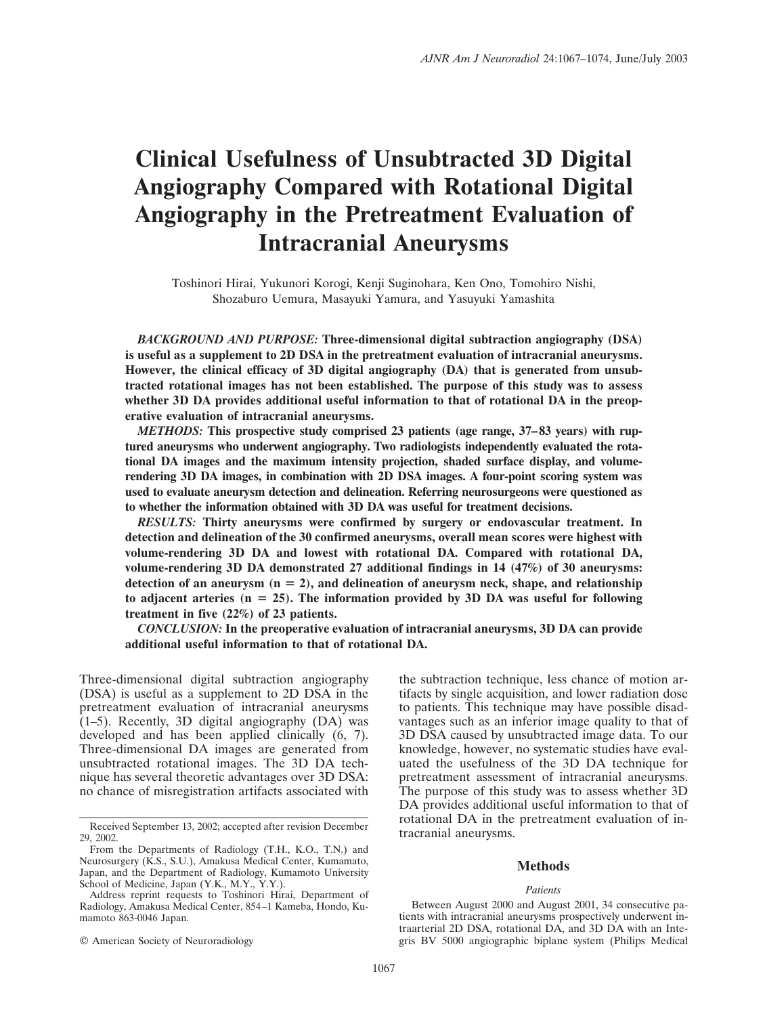# **Clinical Usefulness of Unsubtracted 3D Digital Angiography Compared with Rotational Digital Angiography in the Pretreatment Evaluation of Intracranial Aneurysms**

Toshinori Hirai, Yukunori Korogi, Kenji Suginohara, Ken Ono, Tomohiro Nishi, Shozaburo Uemura, Masayuki Yamura, and Yasuyuki Yamashita

*BACKGROUND AND PURPOSE:* **Three-dimensional digital subtraction angiography (DSA) is useful as a supplement to 2D DSA in the pretreatment evaluation of intracranial aneurysms. However, the clinical efficacy of 3D digital angiography (DA) that is generated from unsubtracted rotational images has not been established. The purpose of this study was to assess whether 3D DA provides additional useful information to that of rotational DA in the preoperative evaluation of intracranial aneurysms.**

*METHODS:* **This prospective study comprised 23 patients (age range, 37–83 years) with ruptured aneurysms who underwent angiography. Two radiologists independently evaluated the rotational DA images and the maximum intensity projection, shaded surface display, and volumerendering 3D DA images, in combination with 2D DSA images. A four-point scoring system was used to evaluate aneurysm detection and delineation. Referring neurosurgeons were questioned as to whether the information obtained with 3D DA was useful for treatment decisions.**

*RESULTS:* **Thirty aneurysms were confirmed by surgery or endovascular treatment. In detection and delineation of the 30 confirmed aneurysms, overall mean scores were highest with volume-rendering 3D DA and lowest with rotational DA. Compared with rotational DA, volume-rendering 3D DA demonstrated 27 additional findings in 14 (47%) of 30 aneurysms:** detection of an aneurysm  $(n = 2)$ , and delineation of aneurysm neck, shape, and relationship **to adjacent arteries (n 25). The information provided by 3D DA was useful for following treatment in five (22%) of 23 patients.**

*CONCLUSION:* **In the preoperative evaluation of intracranial aneurysms, 3D DA can provide additional useful information to that of rotational DA.**

Three-dimensional digital subtraction angiography (DSA) is useful as a supplement to 2D DSA in the pretreatment evaluation of intracranial aneurysms  $(1-5)$ . Recently, 3D digital angiography  $(DA)$  was developed and has been applied clinically (6, 7). Three-dimensional DA images are generated from unsubtracted rotational images. The 3D DA technique has several theoretic advantages over 3D DSA: no chance of misregistration artifacts associated with

© American Society of Neuroradiology

the subtraction technique, less chance of motion artifacts by single acquisition, and lower radiation dose to patients. This technique may have possible disadvantages such as an inferior image quality to that of 3D DSA caused by unsubtracted image data. To our knowledge, however, no systematic studies have evaluated the usefulness of the 3D DA technique for pretreatment assessment of intracranial aneurysms. The purpose of this study was to assess whether 3D DA provides additional useful information to that of rotational DA in the pretreatment evaluation of intracranial aneurysms.

# **Methods**

#### *Patients*

Between August 2000 and August 2001, 34 consecutive patients with intracranial aneurysms prospectively underwent intraarterial 2D DSA, rotational DA, and 3D DA with an Integris BV 5000 angiographic biplane system (Philips Medical

Received September 13, 2002; accepted after revision December 29, 2002.

From the Departments of Radiology (T.H., K.O., T.N.) and Neurosurgery (K.S., S.U.), Amakusa Medical Center, Kumamato, Japan, and the Department of Radiology, Kumamoto University School of Medicine, Japan (Y.K., M.Y., Y.Y.).

Address reprint requests to Toshinori Hirai, Department of Radiology, Amakusa Medical Center, 854–1 Kameba, Hondo, Kumamoto 863-0046 Japan.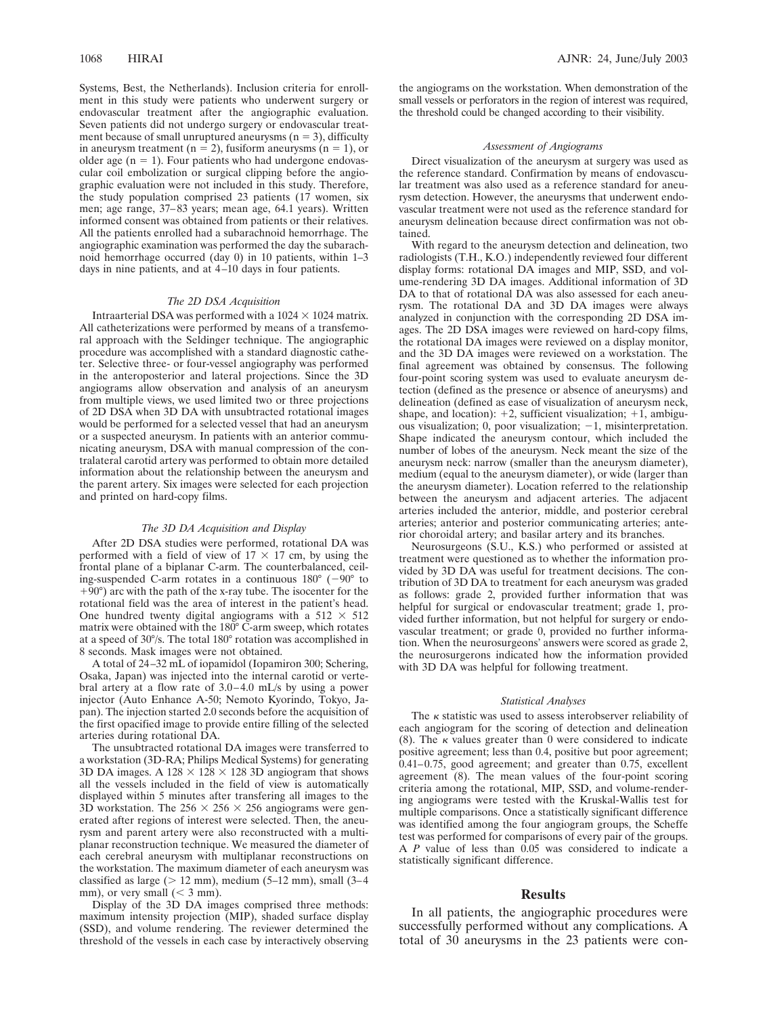Systems, Best, the Netherlands). Inclusion criteria for enrollment in this study were patients who underwent surgery or endovascular treatment after the angiographic evaluation. Seven patients did not undergo surgery or endovascular treatment because of small unruptured aneurysms  $(n = 3)$ , difficulty in aneurysm treatment ( $n = 2$ ), fusiform aneurysms ( $n = 1$ ), or older age  $(n = 1)$ . Four patients who had undergone endovascular coil embolization or surgical clipping before the angiographic evaluation were not included in this study. Therefore, the study population comprised 23 patients (17 women, six men; age range, 37–83 years; mean age, 64.1 years). Written informed consent was obtained from patients or their relatives. All the patients enrolled had a subarachnoid hemorrhage. The angiographic examination was performed the day the subarachnoid hemorrhage occurred (day 0) in 10 patients, within 1–3 days in nine patients, and at 4–10 days in four patients.

#### *The 2D DSA Acquisition*

Intraarterial DSA was performed with a  $1024 \times 1024$  matrix. All catheterizations were performed by means of a transfemoral approach with the Seldinger technique. The angiographic procedure was accomplished with a standard diagnostic catheter. Selective three- or four-vessel angiography was performed in the anteroposterior and lateral projections. Since the 3D angiograms allow observation and analysis of an aneurysm from multiple views, we used limited two or three projections of 2D DSA when 3D DA with unsubtracted rotational images would be performed for a selected vessel that had an aneurysm or a suspected aneurysm. In patients with an anterior communicating aneurysm, DSA with manual compression of the contralateral carotid artery was performed to obtain more detailed information about the relationship between the aneurysm and the parent artery. Six images were selected for each projection and printed on hard-copy films.

#### *The 3D DA Acquisition and Display*

After 2D DSA studies were performed, rotational DA was performed with a field of view of  $17 \times 17$  cm, by using the frontal plane of a biplanar C-arm. The counterbalanced, ceiling-suspended C-arm rotates in a continuous  $180^{\circ}$  (-90° to  $+90^\circ$ ) arc with the path of the x-ray tube. The isocenter for the rotational field was the area of interest in the patient's head. One hundred twenty digital angiograms with a  $512 \times 512$ matrix were obtained with the  $180^{\circ}$  C-arm sweep, which rotates at a speed of 30°/s. The total 180° rotation was accomplished in 8 seconds. Mask images were not obtained.

A total of 24–32 mL of iopamidol (Iopamiron 300; Schering, Osaka, Japan) was injected into the internal carotid or vertebral artery at a flow rate of 3.0–4.0 mL/s by using a power injector (Auto Enhance A-50; Nemoto Kyorindo, Tokyo, Japan). The injection started 2.0 seconds before the acquisition of the first opacified image to provide entire filling of the selected arteries during rotational DA.

The unsubtracted rotational DA images were transferred to a workstation (3D-RA; Philips Medical Systems) for generating 3D DA images. A  $128 \times 128 \times 128$  3D angiogram that shows all the vessels included in the field of view is automatically displayed within 5 minutes after transfering all images to the 3D workstation. The  $256 \times 256 \times 256$  angiograms were generated after regions of interest were selected. Then, the aneurysm and parent artery were also reconstructed with a multiplanar reconstruction technique. We measured the diameter of each cerebral aneurysm with multiplanar reconstructions on the workstation. The maximum diameter of each aneurysm was classified as large ( $> 12$  mm), medium (5–12 mm), small (3–4 mm), or very small  $(< 3$  mm).

Display of the 3D DA images comprised three methods: maximum intensity projection (MIP), shaded surface display (SSD), and volume rendering. The reviewer determined the threshold of the vessels in each case by interactively observing the angiograms on the workstation. When demonstration of the small vessels or perforators in the region of interest was required, the threshold could be changed according to their visibility.

#### *Assessment of Angiograms*

Direct visualization of the aneurysm at surgery was used as the reference standard. Confirmation by means of endovascular treatment was also used as a reference standard for aneurysm detection. However, the aneurysms that underwent endovascular treatment were not used as the reference standard for aneurysm delineation because direct confirmation was not obtained.

With regard to the aneurysm detection and delineation, two radiologists (T.H., K.O.) independently reviewed four different display forms: rotational DA images and MIP, SSD, and volume-rendering 3D DA images. Additional information of 3D DA to that of rotational DA was also assessed for each aneurysm. The rotational DA and 3D DA images were always analyzed in conjunction with the corresponding 2D DSA images. The 2D DSA images were reviewed on hard-copy films, the rotational DA images were reviewed on a display monitor, and the 3D DA images were reviewed on a workstation. The final agreement was obtained by consensus. The following four-point scoring system was used to evaluate aneurysm detection (defined as the presence or absence of aneurysms) and delineation (defined as ease of visualization of aneurysm neck, shape, and location):  $+2$ , sufficient visualization;  $+1$ , ambiguous visualization; 0, poor visualization;  $-1$ , misinterpretation. Shape indicated the aneurysm contour, which included the number of lobes of the aneurysm. Neck meant the size of the aneurysm neck: narrow (smaller than the aneurysm diameter), medium (equal to the aneurysm diameter), or wide (larger than the aneurysm diameter). Location referred to the relationship between the aneurysm and adjacent arteries. The adjacent arteries included the anterior, middle, and posterior cerebral arteries; anterior and posterior communicating arteries; anterior choroidal artery; and basilar artery and its branches.

Neurosurgeons (S.U., K.S.) who performed or assisted at treatment were questioned as to whether the information provided by 3D DA was useful for treatment decisions. The contribution of 3D DA to treatment for each aneurysm was graded as follows: grade 2, provided further information that was helpful for surgical or endovascular treatment; grade 1, provided further information, but not helpful for surgery or endovascular treatment; or grade 0, provided no further information. When the neurosurgeons' answers were scored as grade 2, the neurosurgerons indicated how the information provided with 3D DA was helpful for following treatment.

#### *Statistical Analyses*

The  $\kappa$  statistic was used to assess interobserver reliability of each angiogram for the scoring of detection and delineation (8). The  $\kappa$  values greater than 0 were considered to indicate positive agreement; less than 0.4, positive but poor agreement; 0.41–0.75, good agreement; and greater than 0.75, excellent agreement (8). The mean values of the four-point scoring criteria among the rotational, MIP, SSD, and volume-rendering angiograms were tested with the Kruskal-Wallis test for multiple comparisons. Once a statistically significant difference was identified among the four angiogram groups, the Scheffe test was performed for comparisons of every pair of the groups. A *P* value of less than 0.05 was considered to indicate a statistically significant difference.

#### **Results**

In all patients, the angiographic procedures were successfully performed without any complications. A total of 30 aneurysms in the 23 patients were con-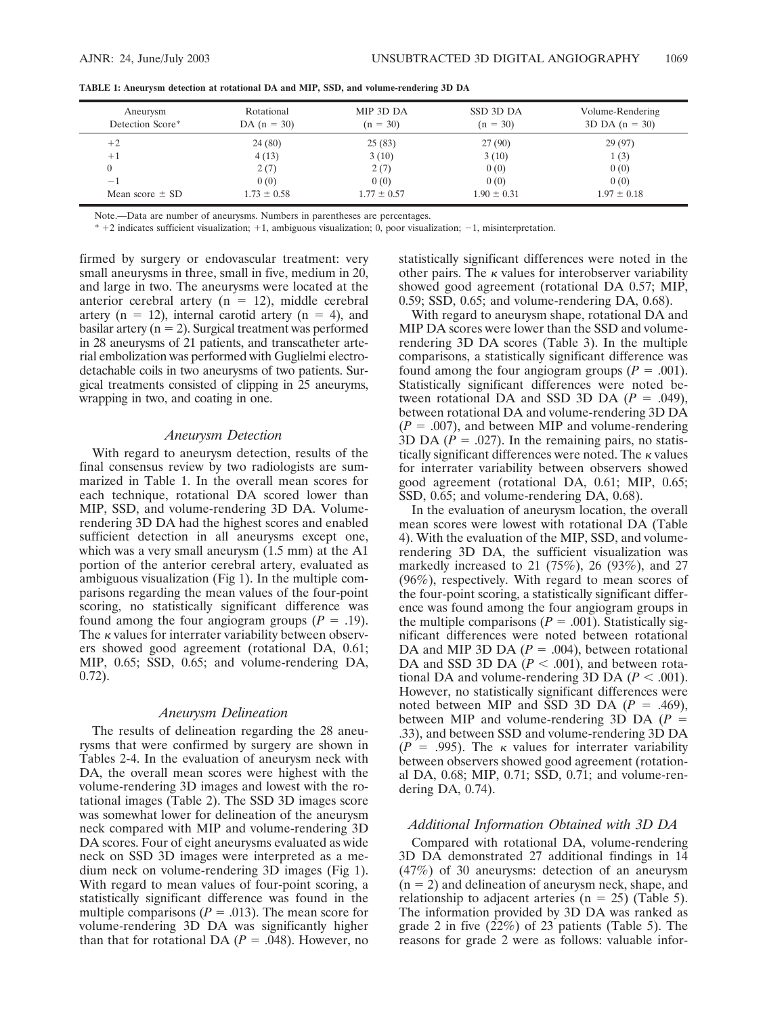| Aneurysm<br>Detection Score* | Rotational<br>DA $(n = 30)$ | MIP 3D DA<br>$(n = 30)$ | SSD 3D DA<br>$(n = 30)$ | Volume-Rendering<br>$3D DA (n = 30)$ |
|------------------------------|-----------------------------|-------------------------|-------------------------|--------------------------------------|
| $+2$                         | 24 (80)                     | 25(83)                  | 27(90)                  | 29(97)                               |
| $+1$                         | 4(13)                       | 3(10)                   | 3(10)                   | 1(3)                                 |
|                              | 2(7)                        | 2(7)                    | 0(0)                    | 0(0)                                 |
| $-1$                         | 0(0)                        | 0(0)                    | 0(0)                    | 0(0)                                 |
| Mean score $\pm$ SD          | $1.73 \pm 0.58$             | $1.77 \pm 0.57$         | $1.90 \pm 0.31$         | $1.97 \pm 0.18$                      |

**TABLE 1: Aneurysm detection at rotational DA and MIP, SSD, and volume-rendering 3D DA**

Note.—Data are number of aneurysms. Numbers in parentheses are percentages.

\* 2 indicates sufficient visualization; 1, ambiguous visualization; 0, poor visualization; 1, misinterpretation.

firmed by surgery or endovascular treatment: very small aneurysms in three, small in five, medium in 20, and large in two. The aneurysms were located at the anterior cerebral artery ( $n = 12$ ), middle cerebral artery ( $n = 12$ ), internal carotid artery ( $n = 4$ ), and basilar artery ( $n = 2$ ). Surgical treatment was performed in 28 aneurysms of 21 patients, and transcatheter arterial embolization was performed with Guglielmi electrodetachable coils in two aneurysms of two patients. Surgical treatments consisted of clipping in 25 aneuryms, wrapping in two, and coating in one.

## *Aneurysm Detection*

With regard to aneurysm detection, results of the final consensus review by two radiologists are summarized in Table 1. In the overall mean scores for each technique, rotational DA scored lower than MIP, SSD, and volume-rendering 3D DA. Volumerendering 3D DA had the highest scores and enabled sufficient detection in all aneurysms except one, which was a very small aneurysm  $(1.5 \text{ mm})$  at the A1 portion of the anterior cerebral artery, evaluated as ambiguous visualization (Fig 1). In the multiple comparisons regarding the mean values of the four-point scoring, no statistically significant difference was found among the four angiogram groups  $(P = .19)$ . The  $\kappa$  values for interrater variability between observers showed good agreement (rotational DA, 0.61; MIP, 0.65; SSD, 0.65; and volume-rendering DA, 0.72).

## *Aneurysm Delineation*

The results of delineation regarding the 28 aneurysms that were confirmed by surgery are shown in Tables 2-4. In the evaluation of aneurysm neck with DA, the overall mean scores were highest with the volume-rendering 3D images and lowest with the rotational images (Table 2). The SSD 3D images score was somewhat lower for delineation of the aneurysm neck compared with MIP and volume-rendering 3D DA scores. Four of eight aneurysms evaluated as wide neck on SSD 3D images were interpreted as a medium neck on volume-rendering 3D images (Fig 1). With regard to mean values of four-point scoring, a statistically significant difference was found in the multiple comparisons ( $P = .013$ ). The mean score for volume-rendering 3D DA was significantly higher than that for rotational DA  $(P = .048)$ . However, no statistically significant differences were noted in the other pairs. The  $\kappa$  values for interobserver variability showed good agreement (rotational DA 0.57; MIP, 0.59; SSD, 0.65; and volume-rendering DA, 0.68).

With regard to aneurysm shape, rotational DA and MIP DA scores were lower than the SSD and volumerendering 3D DA scores (Table 3). In the multiple comparisons, a statistically significant difference was found among the four angiogram groups  $(P = .001)$ . Statistically significant differences were noted between rotational DA and SSD 3D DA  $(P = .049)$ , between rotational DA and volume-rendering 3D DA  $(P = .007)$ , and between MIP and volume-rendering 3D DA  $(P = .027)$ . In the remaining pairs, no statistically significant differences were noted. The  $\kappa$  values for interrater variability between observers showed good agreement (rotational DA, 0.61; MIP, 0.65; SSD, 0.65; and volume-rendering DA, 0.68).

In the evaluation of aneurysm location, the overall mean scores were lowest with rotational DA (Table 4). With the evaluation of the MIP, SSD, and volumerendering 3D DA, the sufficient visualization was markedly increased to 21 (75%), 26 (93%), and 27 (96%), respectively. With regard to mean scores of the four-point scoring, a statistically significant difference was found among the four angiogram groups in the multiple comparisons  $(P = .001)$ . Statistically significant differences were noted between rotational DA and MIP 3D DA  $(P = .004)$ , between rotational DA and SSD 3D DA  $(P < .001)$ , and between rotational DA and volume-rendering 3D DA  $(P < .001)$ . However, no statistically significant differences were noted between MIP and SSD 3D DA  $(P = .469)$ , between MIP and volume-rendering 3D DA (*P* .33), and between SSD and volume-rendering 3D DA  $(P = .995)$ . The  $\kappa$  values for interrater variability between observers showed good agreement (rotational DA, 0.68; MIP, 0.71; SSD, 0.71; and volume-rendering DA, 0.74).

## *Additional Information Obtained with 3D DA*

Compared with rotational DA, volume-rendering 3D DA demonstrated 27 additional findings in 14 (47%) of 30 aneurysms: detection of an aneurysm  $(n = 2)$  and delineation of aneurysm neck, shape, and relationship to adjacent arteries ( $n = 25$ ) (Table 5). The information provided by 3D DA was ranked as grade 2 in five (22%) of 23 patients (Table 5). The reasons for grade 2 were as follows: valuable infor-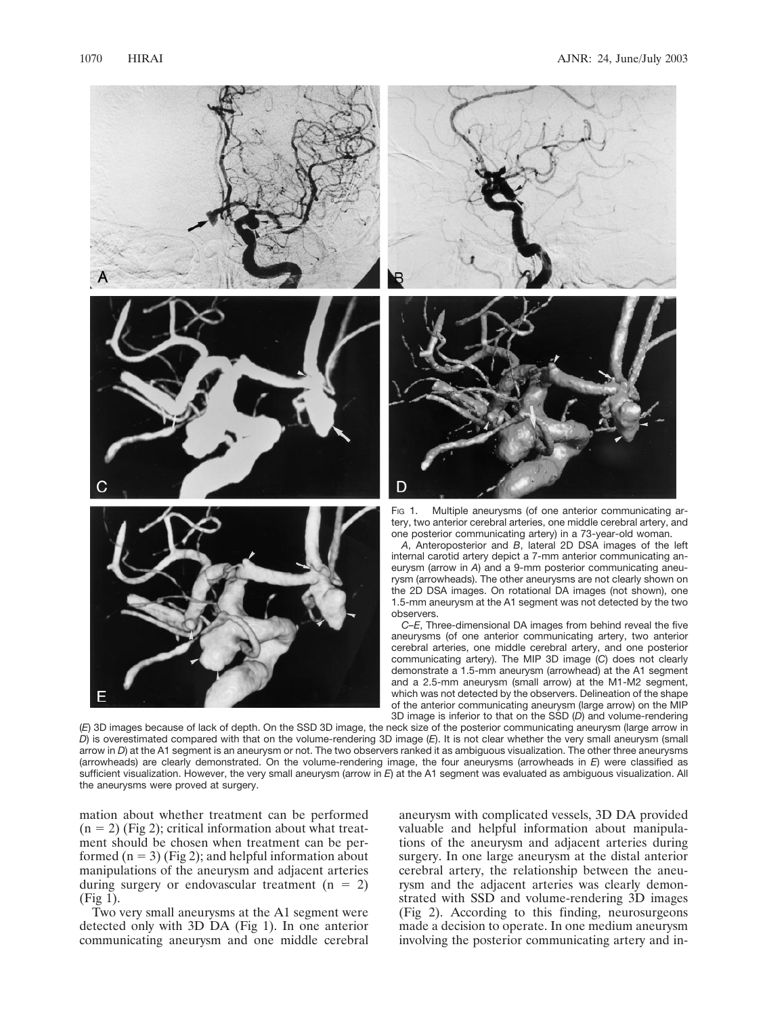





Fig 1. Multiple aneurysms (of one anterior communicating artery, two anterior cerebral arteries, one middle cerebral artery, and one posterior communicating artery) in a 73-year-old woman.

*A*, Anteroposterior and *B*, lateral 2D DSA images of the left internal carotid artery depict a 7-mm anterior communicating aneurysm (arrow in *A*) and a 9-mm posterior communicating aneurysm (arrowheads). The other aneurysms are not clearly shown on the 2D DSA images. On rotational DA images (not shown), one 1.5-mm aneurysm at the A1 segment was not detected by the two observers.

*C–E*, Three-dimensional DA images from behind reveal the five aneurysms (of one anterior communicating artery, two anterior cerebral arteries, one middle cerebral artery, and one posterior communicating artery). The MIP 3D image (*C*) does not clearly demonstrate a 1.5-mm aneurysm (arrowhead) at the A1 segment and a 2.5-mm aneurysm (small arrow) at the M1-M2 segment, which was not detected by the observers. Delineation of the shape of the anterior communicating aneurysm (large arrow) on the MIP 3D image is inferior to that on the SSD (*D*) and volume-rendering

(*E*) 3D images because of lack of depth. On the SSD 3D image, the neck size of the posterior communicating aneurysm (large arrow in *D*) is overestimated compared with that on the volume-rendering 3D image (*E*). It is not clear whether the very small aneurysm (small arrow in *D*) at the A1 segment is an aneurysm or not. The two observers ranked it as ambiguous visualization. The other three aneurysms (arrowheads) are clearly demonstrated. On the volume-rendering image, the four aneurysms (arrowheads in *E*) were classified as sufficient visualization. However, the very small aneurysm (arrow in *E*) at the A1 segment was evaluated as ambiguous visualization. All the aneurysms were proved at surgery.

mation about whether treatment can be performed  $(n = 2)$  (Fig 2); critical information about what treatment should be chosen when treatment can be performed  $(n = 3)$  (Fig 2); and helpful information about manipulations of the aneurysm and adjacent arteries during surgery or endovascular treatment  $(n = 2)$ (Fig 1).

Two very small aneurysms at the A1 segment were detected only with 3D DA (Fig 1). In one anterior communicating aneurysm and one middle cerebral aneurysm with complicated vessels, 3D DA provided valuable and helpful information about manipulations of the aneurysm and adjacent arteries during surgery. In one large aneurysm at the distal anterior cerebral artery, the relationship between the aneurysm and the adjacent arteries was clearly demonstrated with SSD and volume-rendering 3D images (Fig 2). According to this finding, neurosurgeons made a decision to operate. In one medium aneurysm involving the posterior communicating artery and in-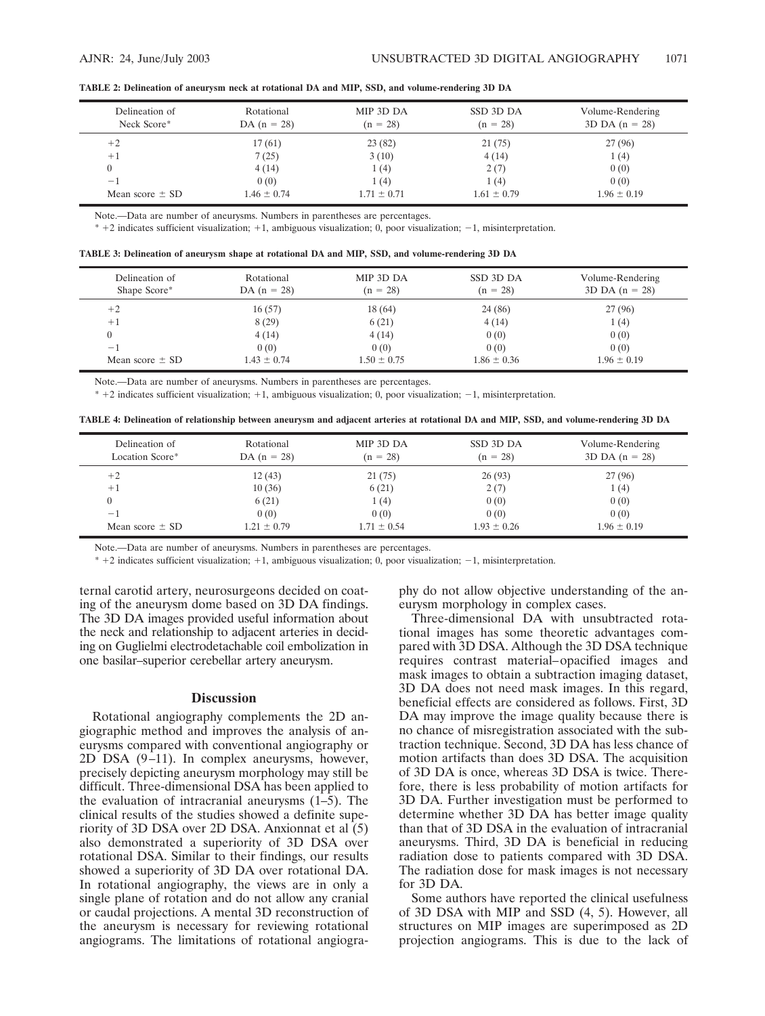|  |  | TABLE 2: Delineation of aneurysm neck at rotational DA and MIP, SSD, and volume-rendering 3D DA |
|--|--|-------------------------------------------------------------------------------------------------|
|  |  |                                                                                                 |

| Delineation of<br>Neck Score* | Rotational<br>DA $(n = 28)$ | MIP 3D DA<br>$(n = 28)$ | SSD 3D DA<br>$(n = 28)$ | Volume-Rendering<br>$3D DA (n = 28)$ |
|-------------------------------|-----------------------------|-------------------------|-------------------------|--------------------------------------|
| $+2$                          | 17(61)                      | 23(82)                  | 21(75)                  | 27(96)                               |
| $+1$                          | 7(25)                       | 3(10)                   | 4(14)                   | 1(4)                                 |
|                               | 4(14)                       | 1 (4)                   | 2(7)                    | 0(0)                                 |
| $-1$                          | 0(0)                        | 1 (4)                   | 1(4)                    | 0(0)                                 |
| Mean score $\pm$ SD           | $1.46 \pm 0.74$             | $1.71 \pm 0.71$         | $1.61 \pm 0.79$         | $1.96 \pm 0.19$                      |

Note.—Data are number of aneurysms. Numbers in parentheses are percentages.

 $* + 2$  indicates sufficient visualization;  $+1$ , ambiguous visualization; 0, poor visualization;  $-1$ , misinterpretation.

|  |  | TABLE 3: Delineation of aneurysm shape at rotational DA and MIP, SSD, and volume-rendering 3D DA |  |
|--|--|--------------------------------------------------------------------------------------------------|--|
|  |  |                                                                                                  |  |

| Delineation of<br>Shape Score* | Rotational<br>DA $(n = 28)$ | MIP 3D DA<br>$(n = 28)$ | SSD 3D DA<br>$(n = 28)$ | Volume-Rendering<br>$3D DA (n = 28)$ |
|--------------------------------|-----------------------------|-------------------------|-------------------------|--------------------------------------|
| $+2$                           | 16(57)                      | 18(64)                  | 24(86)                  | 27(96)                               |
| $+1$                           | 8(29)                       | 6(21)                   | 4(14)                   | 1(4)                                 |
|                                | 4(14)                       | 4(14)                   | 0(0)                    | 0(0)                                 |
| -1                             | 0(0)                        | 0(0)                    | 0(0)                    | 0(0)                                 |
| Mean score $\pm$ SD            | $1.43 \pm 0.74$             | $1.50 \pm 0.75$         | $1.86 \pm 0.36$         | $1.96 \pm 0.19$                      |

Note.—Data are number of aneurysms. Numbers in parentheses are percentages.

 $* + 2$  indicates sufficient visualization;  $+1$ , ambiguous visualization; 0, poor visualization;  $-1$ , misinterpretation.

| TABLE 4: Delineation of relationship between aneurysm and adjacent arteries at rotational DA and MIP, SSD, and volume-rendering 3D DA |  |  |
|---------------------------------------------------------------------------------------------------------------------------------------|--|--|
|                                                                                                                                       |  |  |

| Delineation of<br>Location Score* | Rotational<br>DA $(n = 28)$ | MIP 3D DA<br>$(n = 28)$ | SSD 3D DA<br>$(n = 28)$ | Volume-Rendering<br>$3D DA (n = 28)$ |
|-----------------------------------|-----------------------------|-------------------------|-------------------------|--------------------------------------|
| $+2$                              | 12(43)                      | 21(75)                  | 26(93)                  | 27(96)                               |
| $+1$                              | 10(36)                      | 6(21)                   | 2(7)                    | 1(4)                                 |
|                                   | 6(21)                       | 1(4)                    | 0(0)                    | 0(0)                                 |
| $-1$                              | 0(0)                        | 0(0)                    | 0(0)                    | 0(0)                                 |
| Mean score $\pm$ SD               | $1.21 \pm 0.79$             | $1.71 \pm 0.54$         | $1.93 \pm 0.26$         | $1.96 \pm 0.19$                      |

Note.—Data are number of aneurysms. Numbers in parentheses are percentages.

 $* + 2$  indicates sufficient visualization;  $+1$ , ambiguous visualization; 0, poor visualization;  $-1$ , misinterpretation.

ternal carotid artery, neurosurgeons decided on coating of the aneurysm dome based on 3D DA findings. The 3D DA images provided useful information about the neck and relationship to adjacent arteries in deciding on Guglielmi electrodetachable coil embolization in one basilar–superior cerebellar artery aneurysm.

## **Discussion**

Rotational angiography complements the 2D angiographic method and improves the analysis of aneurysms compared with conventional angiography or 2D DSA (9–11). In complex aneurysms, however, precisely depicting aneurysm morphology may still be difficult. Three-dimensional DSA has been applied to the evaluation of intracranial aneurysms (1–5). The clinical results of the studies showed a definite superiority of 3D DSA over 2D DSA. Anxionnat et al (5) also demonstrated a superiority of 3D DSA over rotational DSA. Similar to their findings, our results showed a superiority of 3D DA over rotational DA. In rotational angiography, the views are in only a single plane of rotation and do not allow any cranial or caudal projections. A mental 3D reconstruction of the aneurysm is necessary for reviewing rotational angiograms. The limitations of rotational angiography do not allow objective understanding of the aneurysm morphology in complex cases.

Three-dimensional DA with unsubtracted rotational images has some theoretic advantages compared with 3D DSA. Although the 3D DSA technique requires contrast material–opacified images and mask images to obtain a subtraction imaging dataset, 3D DA does not need mask images. In this regard, beneficial effects are considered as follows. First, 3D DA may improve the image quality because there is no chance of misregistration associated with the subtraction technique. Second, 3D DA has less chance of motion artifacts than does 3D DSA. The acquisition of 3D DA is once, whereas 3D DSA is twice. Therefore, there is less probability of motion artifacts for 3D DA. Further investigation must be performed to determine whether 3D DA has better image quality than that of 3D DSA in the evaluation of intracranial aneurysms. Third, 3D DA is beneficial in reducing radiation dose to patients compared with 3D DSA. The radiation dose for mask images is not necessary for 3D DA.

Some authors have reported the clinical usefulness of 3D DSA with MIP and SSD (4, 5). However, all structures on MIP images are superimposed as 2D projection angiograms. This is due to the lack of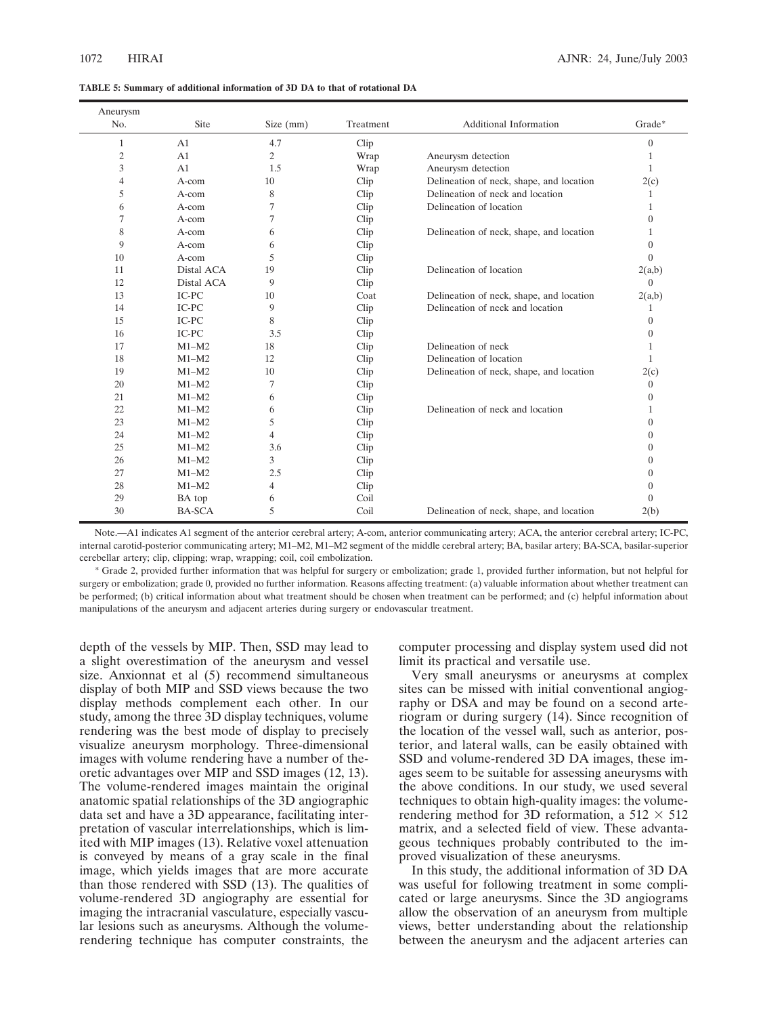|  |  |  |  |  |  |  | TABLE 5: Summary of additional information of 3D DA to that of rotational DA |  |
|--|--|--|--|--|--|--|------------------------------------------------------------------------------|--|
|--|--|--|--|--|--|--|------------------------------------------------------------------------------|--|

| Aneurysm       |                |                |           |                                          |              |
|----------------|----------------|----------------|-----------|------------------------------------------|--------------|
| No.            | Site           | Size $(mm)$    | Treatment | Additional Information                   | Grade*       |
| 1              | A <sub>1</sub> | 4.7            | Clip      |                                          | $\theta$     |
| $\mathfrak{2}$ | A <sub>1</sub> | $\overline{2}$ | Wrap      | Aneurysm detection                       | 1            |
| 3              | A1             | 1.5            | Wrap      | Aneurysm detection                       | $\mathbf{1}$ |
| 4              | A-com          | 10             | Clip      | Delineation of neck, shape, and location | 2(c)         |
| 5              | A-com          | 8              | Clip      | Delineation of neck and location         | 1            |
| 6              | A-com          | 7              | Clip      | Delineation of location                  | $\mathbf{1}$ |
| 7              | A-com          | $\tau$         | Clip      |                                          | $\theta$     |
| 8              | A-com          | 6              | Clip      | Delineation of neck, shape, and location | 1            |
| 9              | A-com          | 6              | Clip      |                                          | $\theta$     |
| 10             | A-com          | 5              | Clip      |                                          | $\Omega$     |
| 11             | Distal ACA     | 19             | Clip      | Delineation of location                  | 2(a,b)       |
| 12             | Distal ACA     | 9              | Clip      |                                          | $\Omega$     |
| 13             | IC-PC          | 10             | Coat      | Delineation of neck, shape, and location | 2(a,b)       |
| 14             | IC-PC          | 9              | Clip      | Delineation of neck and location         | 1            |
| 15             | IC-PC          | 8              | Clip      |                                          | $\theta$     |
| 16             | IC-PC          | 3.5            | Clip      |                                          | $\Omega$     |
| 17             | $M1-M2$        | 18             | Clip      | Delineation of neck                      | 1            |
| 18             | $M1-M2$        | 12             | Clip      | Delineation of location                  | $\mathbf{1}$ |
| 19             | $M1-M2$        | 10             | Clip      | Delineation of neck, shape, and location | 2(c)         |
| 20             | $M1-M2$        | 7              | Clip      |                                          | $\theta$     |
| 21             | $M1-M2$        | 6              | Clip      |                                          | $\mathbf{0}$ |
| 22             | $M1-M2$        | 6              | Clip      | Delineation of neck and location         | 1            |
| 23             | $M1-M2$        | 5              | Clip      |                                          | $\Omega$     |
| 24             | $M1-M2$        | $\overline{4}$ | Clip      |                                          | $\mathbf{0}$ |
| 25             | $M1-M2$        | 3.6            | Clip      |                                          | $\theta$     |
| 26             | $M1-M2$        | 3              | Clip      |                                          | $\Omega$     |
| 27             | $M1-M2$        | 2.5            | Clip      |                                          | $\mathbf{0}$ |
| 28             | $M1-M2$        | $\overline{4}$ | Clip      |                                          | $\theta$     |
| 29             | BA top         | 6              | Coil      |                                          | $\Omega$     |
| 30             | <b>BA-SCA</b>  | 5              | Coil      | Delineation of neck, shape, and location | 2(b)         |

Note.—A1 indicates A1 segment of the anterior cerebral artery; A-com, anterior communicating artery; ACA, the anterior cerebral artery; IC-PC, internal carotid-posterior communicating artery; M1–M2, M1–M2 segment of the middle cerebral artery; BA, basilar artery; BA-SCA, basilar-superior cerebellar artery; clip, clipping; wrap, wrapping; coil, coil embolization.

\* Grade 2, provided further information that was helpful for surgery or embolization; grade 1, provided further information, but not helpful for surgery or embolization; grade 0, provided no further information. Reasons affecting treatment: (a) valuable information about whether treatment can be performed; (b) critical information about what treatment should be chosen when treatment can be performed; and (c) helpful information about manipulations of the aneurysm and adjacent arteries during surgery or endovascular treatment.

depth of the vessels by MIP. Then, SSD may lead to a slight overestimation of the aneurysm and vessel size. Anxionnat et al (5) recommend simultaneous display of both MIP and SSD views because the two display methods complement each other. In our study, among the three 3D display techniques, volume rendering was the best mode of display to precisely visualize aneurysm morphology. Three-dimensional images with volume rendering have a number of theoretic advantages over MIP and SSD images (12, 13). The volume-rendered images maintain the original anatomic spatial relationships of the 3D angiographic data set and have a 3D appearance, facilitating interpretation of vascular interrelationships, which is limited with MIP images (13). Relative voxel attenuation is conveyed by means of a gray scale in the final image, which yields images that are more accurate than those rendered with SSD (13). The qualities of volume-rendered 3D angiography are essential for imaging the intracranial vasculature, especially vascular lesions such as aneurysms. Although the volumerendering technique has computer constraints, the

computer processing and display system used did not limit its practical and versatile use.

Very small aneurysms or aneurysms at complex sites can be missed with initial conventional angiography or DSA and may be found on a second arteriogram or during surgery (14). Since recognition of the location of the vessel wall, such as anterior, posterior, and lateral walls, can be easily obtained with SSD and volume-rendered 3D DA images, these images seem to be suitable for assessing aneurysms with the above conditions. In our study, we used several techniques to obtain high-quality images: the volumerendering method for 3D reformation, a  $512 \times 512$ matrix, and a selected field of view. These advantageous techniques probably contributed to the improved visualization of these aneurysms.

In this study, the additional information of 3D DA was useful for following treatment in some complicated or large aneurysms. Since the 3D angiograms allow the observation of an aneurysm from multiple views, better understanding about the relationship between the aneurysm and the adjacent arteries can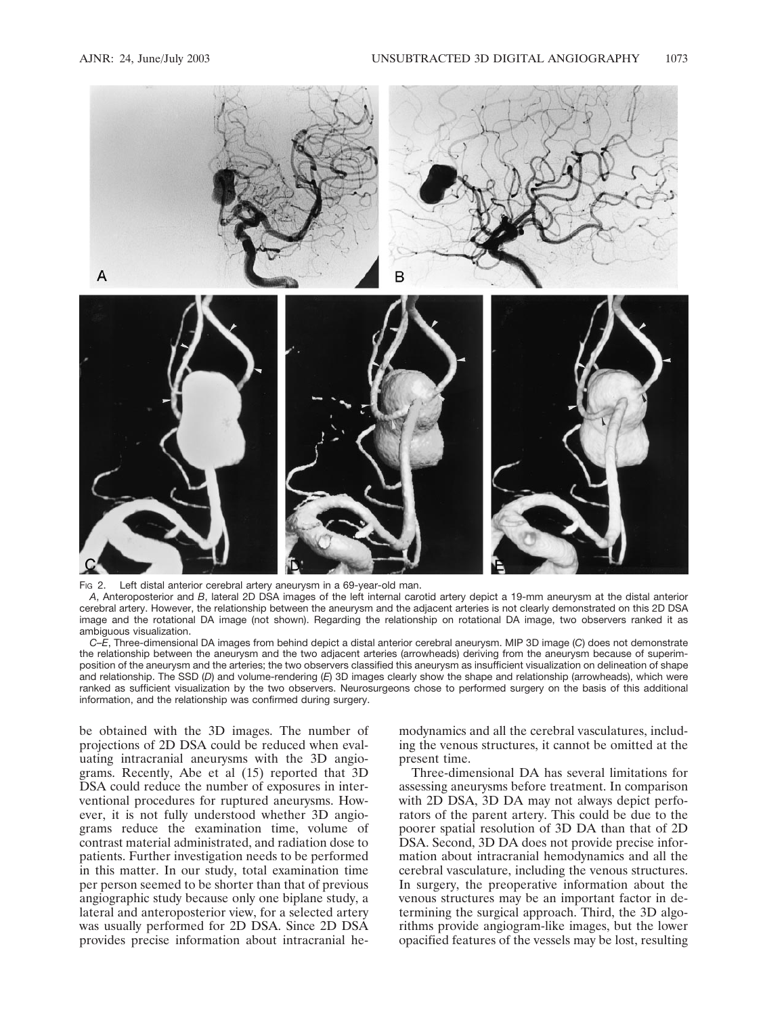

Fig 2. Left distal anterior cerebral artery aneurysm in a 69-year-old man.

*A*, Anteroposterior and *B*, lateral 2D DSA images of the left internal carotid artery depict a 19-mm aneurysm at the distal anterior cerebral artery. However, the relationship between the aneurysm and the adjacent arteries is not clearly demonstrated on this 2D DSA image and the rotational DA image (not shown). Regarding the relationship on rotational DA image, two observers ranked it as ambiguous visualization.

*C–E*, Three-dimensional DA images from behind depict a distal anterior cerebral aneurysm. MIP 3D image (*C*) does not demonstrate the relationship between the aneurysm and the two adjacent arteries (arrowheads) deriving from the aneurysm because of superimposition of the aneurysm and the arteries; the two observers classified this aneurysm as insufficient visualization on delineation of shape and relationship. The SSD (*D*) and volume-rendering (*E*) 3D images clearly show the shape and relationship (arrowheads), which were ranked as sufficient visualization by the two observers. Neurosurgeons chose to performed surgery on the basis of this additional information, and the relationship was confirmed during surgery.

be obtained with the 3D images. The number of projections of 2D DSA could be reduced when evaluating intracranial aneurysms with the 3D angiograms. Recently, Abe et al (15) reported that 3D DSA could reduce the number of exposures in interventional procedures for ruptured aneurysms. However, it is not fully understood whether 3D angiograms reduce the examination time, volume of contrast material administrated, and radiation dose to patients. Further investigation needs to be performed in this matter. In our study, total examination time per person seemed to be shorter than that of previous angiographic study because only one biplane study, a lateral and anteroposterior view, for a selected artery was usually performed for 2D DSA. Since 2D DSA provides precise information about intracranial he-

modynamics and all the cerebral vasculatures, including the venous structures, it cannot be omitted at the present time.

Three-dimensional DA has several limitations for assessing aneurysms before treatment. In comparison with 2D DSA, 3D DA may not always depict perforators of the parent artery. This could be due to the poorer spatial resolution of 3D DA than that of 2D DSA. Second, 3D DA does not provide precise information about intracranial hemodynamics and all the cerebral vasculature, including the venous structures. In surgery, the preoperative information about the venous structures may be an important factor in determining the surgical approach. Third, the 3D algorithms provide angiogram-like images, but the lower opacified features of the vessels may be lost, resulting